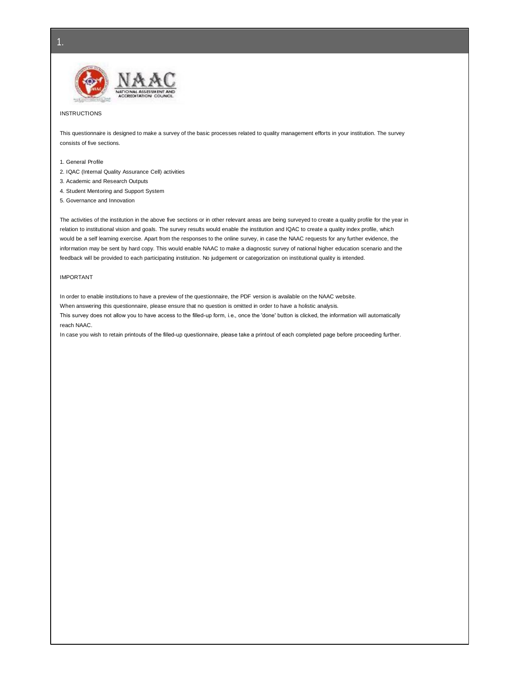

#### INSTRUCTIONS

This questionnaire is designed to make a survey of the basic processes related to quality management efforts in your institution. The survey consists of five sections.

1. General Profile

- 2. IQAC (Internal Quality Assurance Cell) activities
- 3. Academic and Research Outputs
- 4. Student Mentoring and Support System
- 5. Governance and Innovation

The activities of the institution in the above five sections or in other relevant areas are being surveyed to create a quality profile for the year in relation to institutional vision and goals. The survey results would enable the institution and IQAC to create a quality index profile, which would be a self learning exercise. Apart from the responses to the online survey, in case the NAAC requests for any further evidence, the information may be sent by hard copy. This would enable NAAC to make a diagnostic survey of national higher education scenario and the feedback will be provided to each participating institution. No judgement or categorization on institutional quality is intended.

#### IMPORTANT

In order to enable institutions to have a preview of the questionnaire, the PDF version is available on the NAAC website.

When answering this questionnaire, please ensure that no question is omitted in order to have a holistic analysis.

This survey does not allow you to have access to the filled-up form, i.e., once the 'done' button is clicked, the information will automatically reach NAAC.

In case you wish to retain printouts of the filled-up questionnaire, please take a printout of each completed page before proceeding further.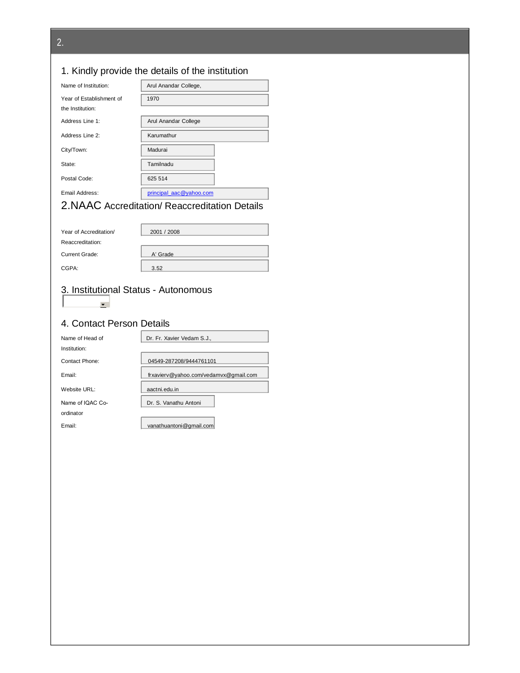# 1. Kindly provide the details of the institution

| Name of Institution:     | Arul Anandar College,   |  |
|--------------------------|-------------------------|--|
| Year of Establishment of | 1970                    |  |
| the Institution:         |                         |  |
| Address Line 1:          | Arul Anandar College    |  |
| Address Line 2:          | Karumathur              |  |
| City/Town:               | Madurai                 |  |
| State:                   | Tamilnadu               |  |
| Postal Code:             | 625 514                 |  |
| Email Address:           | principal aac@yahoo.com |  |
| .                        |                         |  |

## 2.NAAC Accreditation/ Reaccreditation Details

| Year of Accreditation/ | 2001 / 2008 |
|------------------------|-------------|
| Reaccreditation:       |             |
| Current Grade:         | A' Grade    |
| CGPA:                  | 3.52        |

# 3. Institutional Status - Autonomous

## 4. Contact Person Details

 $\frac{1}{2}$ 

| Name of Head of  | Dr. Fr. Xavier Vedam S.J              |  |
|------------------|---------------------------------------|--|
| Institution:     |                                       |  |
| Contact Phone:   | 04549-287208/9444761101               |  |
| Email:           | frxaviery@yahoo.com/vedamvx@gmail.com |  |
| Website URL:     | aactni.edu.in                         |  |
| Name of IQAC Co- | Dr. S. Vanathu Antoni                 |  |
| ordinator        |                                       |  |
| Email:           | vanathuantoni@gmail.com               |  |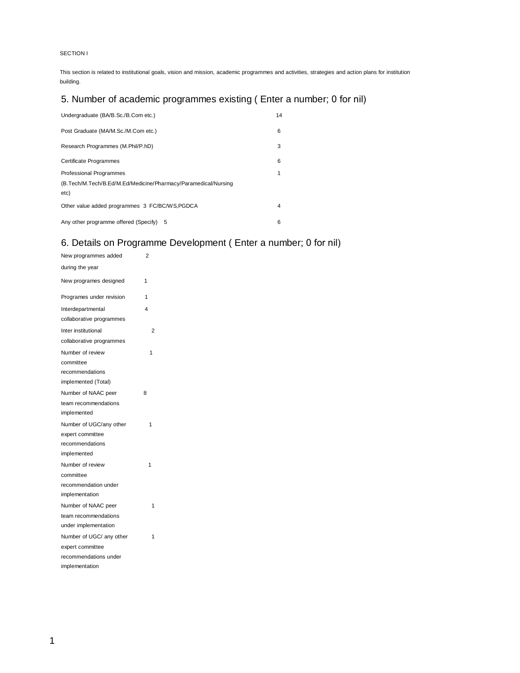## SECTION I

This section is related to institutional goals, vision and mission, academic programmes and activities, strategies and action plans for institution building.

# 5. Number of academic programmes existing ( Enter a number; 0 for nil)

| Undergraduate (BA/B. Sc./B. Com etc.)                                      | 14 |
|----------------------------------------------------------------------------|----|
| Post Graduate (MA/M.Sc./M.Com etc.)                                        | 6  |
| Research Programmes (M.Phil/P.hD)                                          | 3  |
| Certificate Programmes                                                     | 6  |
| Professional Programmes                                                    | 1  |
| (B. Tech/M. Tech/B. Ed/M. Ed/Medicine/Pharmacy/Paramedical/Nursing<br>etc) |    |
| Other value added programmes 3 FC/BC/WS, PGDCA                             | 4  |
| Any other programme offered (Specify) 5                                    | 6  |

# 6. Details on Programme Development ( Enter a number; 0 for nil)

| New programmes added     | 2              |  |
|--------------------------|----------------|--|
| during the year          |                |  |
| New programes designed   | 1              |  |
| Programes under revision | 1              |  |
| Interdepartmental        | 4              |  |
| collaborative programmes |                |  |
| Inter institutional      | $\overline{2}$ |  |
| collaborative programmes |                |  |
| Number of review         | 1              |  |
| committee                |                |  |
| recommendations          |                |  |
| implemented (Total)      |                |  |
| Number of NAAC peer      | 8              |  |
| team recommendations     |                |  |
| implemented              |                |  |
| Number of UGC/any other  | 1              |  |
| expert committee         |                |  |
| recommendations          |                |  |
| implemented              |                |  |
| Number of review         | 1              |  |
| committee                |                |  |
| recommendation under     |                |  |
| implementation           |                |  |
| Number of NAAC peer      | 1              |  |
| team recommendations     |                |  |
| under implementation     |                |  |
| Number of UGC/ any other | 1              |  |
| expert committee         |                |  |
| recommendations under    |                |  |
| implementation           |                |  |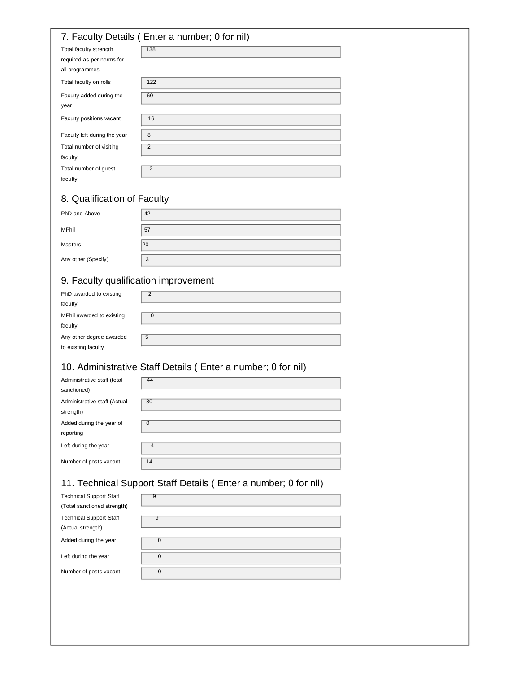## 7. Faculty Details ( Enter a number; 0 for nil)

| -<br>$\cdot$                 |                                                                                 |
|------------------------------|---------------------------------------------------------------------------------|
| Total faculty strength       | 138                                                                             |
| required as per norms for    |                                                                                 |
| all programmes               |                                                                                 |
| Total faculty on rolls       | 122                                                                             |
| Faculty added during the     | 60                                                                              |
| year                         |                                                                                 |
| Faculty positions vacant     | 16                                                                              |
| Faculty left during the year | 8<br>the control of the control of the control of the control of the control of |
| Total number of visiting     | $\overline{2}$                                                                  |
| faculty                      |                                                                                 |
| Total number of guest        | $\overline{2}$                                                                  |
| faculty                      |                                                                                 |

# 8. Qualification of Faculty

| PhD and Above       | 42 |
|---------------------|----|
| <b>MPhil</b>        | 57 |
| <b>Masters</b>      | 20 |
| Any other (Specify) | 3  |

# 9. Faculty qualification improvement

| PhD awarded to existing   |   |
|---------------------------|---|
| faculty                   |   |
| MPhil awarded to existing |   |
| faculty                   |   |
| Any other degree awarded  | 5 |
| to existing faculty       |   |

# 10. Administrative Staff Details ( Enter a number; 0 for nil)

| Administrative staff (total<br>sanctioned) | 44             |
|--------------------------------------------|----------------|
| Administrative staff (Actual<br>strength)  | 30             |
| Added during the year of<br>reporting      | 0              |
| Left during the year                       | $\overline{4}$ |
| Number of posts vacant                     | 14             |

# 11. Technical Support Staff Details ( Enter a number; 0 for nil)

| <b>Technical Support Staff</b> | 9              |
|--------------------------------|----------------|
| (Total sanctioned strength)    |                |
| <b>Technical Support Staff</b> | 9              |
| (Actual strength)              |                |
| Added during the year          | $\overline{0}$ |
|                                |                |
| Left during the year           | $\mathbf{0}$   |
|                                |                |
| Number of posts vacant         | 0              |
|                                |                |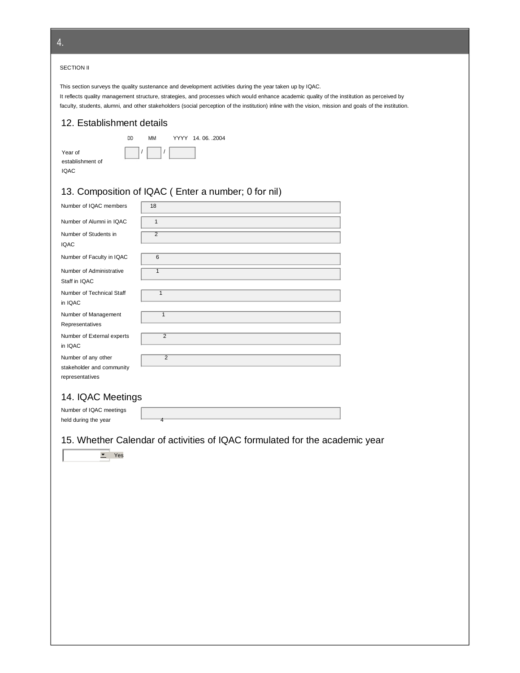#### SECTION II

This section surveys the quality sustenance and development activities during the year taken up by IQAC. It reflects quality management structure, strategies, and processes which would enhance academic quality of the institution as perceived by faculty, students, alumni, and other stakeholders (social perception of the institution) inline with the vision, mission and goals of the institution.

## 12. Establishment details

DD

| Year of          |
|------------------|
| establishment of |
| IQAC             |

| MМ | YYYY 14, 06, .2004 |
|----|--------------------|
|    |                    |

| 13. Composition of IQAC (Enter a number; 0 for nil) |  |  |
|-----------------------------------------------------|--|--|
|                                                     |  |  |

/ /

| Number of IQAC members     | 18             |
|----------------------------|----------------|
| Number of Alumni in IQAC   | $\mathbf{1}$   |
| Number of Students in      | $\overline{2}$ |
| <b>IQAC</b>                |                |
| Number of Faculty in IQAC  | 6              |
| Number of Administrative   | 1              |
| Staff in IQAC              |                |
| Number of Technical Staff  | 1              |
| in IQAC                    |                |
| Number of Management       | 1              |
| Representatives            |                |
| Number of External experts | $\overline{2}$ |
| in IQAC                    |                |
| Number of any other        | $\overline{2}$ |
| stakeholder and community  |                |
| representatives            |                |

## 14. IQAC Meetings

Number of IQAC meetings held during the year

15. Whether Calendar of activities of IQAC formulated for the academic year



4.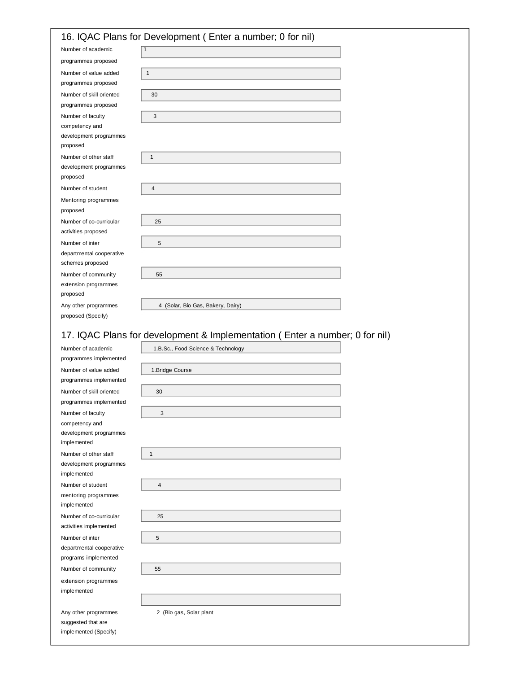|                                    | 16. IQAC Plans for Development (Enter a number; 0 for nil) |
|------------------------------------|------------------------------------------------------------|
| Number of academic                 | $\mathbf{1}$                                               |
| programmes proposed                |                                                            |
| Number of value added              | $\mathbf{1}$                                               |
| programmes proposed                |                                                            |
| Number of skill oriented           | 30                                                         |
| programmes proposed                |                                                            |
| Number of faculty                  | 3                                                          |
| competency and                     |                                                            |
| development programmes             |                                                            |
| proposed                           |                                                            |
| Number of other staff              | $\mathbf{1}$                                               |
| development programmes<br>proposed |                                                            |
| Number of student                  | 4                                                          |
|                                    |                                                            |
| Mentoring programmes<br>proposed   |                                                            |
| Number of co-curricular            | 25                                                         |
| activities proposed                |                                                            |
| Number of inter                    | 5                                                          |
| departmental cooperative           |                                                            |
| schemes proposed                   |                                                            |
| Number of community                | 55                                                         |
| extension programmes               |                                                            |
| proposed                           |                                                            |
| Any other programmes               | 4 (Solar, Bio Gas, Bakery, Dairy)                          |
| proposed (Specify)                 |                                                            |

## 17. IQAC Plans for development & Implementation ( Enter a number; 0 for nil)

| Number of academic       | 1.B.Sc., Food Science & Technology |  |
|--------------------------|------------------------------------|--|
| programmes implemented   |                                    |  |
| Number of value added    | 1. Bridge Course                   |  |
| programmes implemented   |                                    |  |
| Number of skill oriented | 30                                 |  |
| programmes implemented   |                                    |  |
| Number of faculty        | $\mathbf{3}$                       |  |
| competency and           |                                    |  |
| development programmes   |                                    |  |
| implemented              |                                    |  |
| Number of other staff    | $\mathbf{1}$                       |  |
| development programmes   |                                    |  |
| implemented              |                                    |  |
| Number of student        | $\overline{4}$                     |  |
| mentoring programmes     |                                    |  |
| implemented              |                                    |  |
| Number of co-curricular  | 25                                 |  |
| activities implemented   |                                    |  |
| Number of inter          | 5                                  |  |
| departmental cooperative |                                    |  |
| programs implemented     |                                    |  |
| Number of community      | 55                                 |  |
| extension programmes     |                                    |  |
| implemented              |                                    |  |
|                          |                                    |  |
| Any other programmes     | 2 (Bio gas, Solar plant            |  |
| suggested that are       |                                    |  |
| implemented (Specify)    |                                    |  |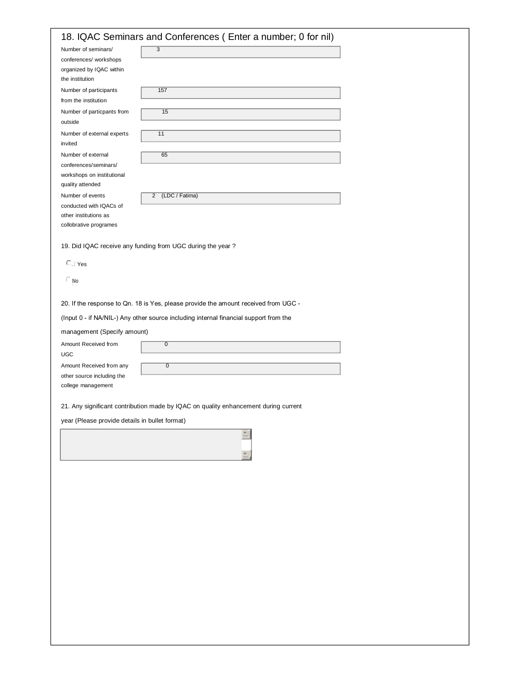| Number of seminars/<br>conferences/ workshops<br>organized by IQAC within<br>the institution<br>Number of participants<br>from the institution | $\overline{3}$                                                                        |
|------------------------------------------------------------------------------------------------------------------------------------------------|---------------------------------------------------------------------------------------|
|                                                                                                                                                |                                                                                       |
|                                                                                                                                                |                                                                                       |
|                                                                                                                                                | 157                                                                                   |
| Number of particpants from                                                                                                                     | 15                                                                                    |
| outside                                                                                                                                        |                                                                                       |
| Number of external experts<br>invited                                                                                                          | 11                                                                                    |
| Number of external                                                                                                                             | 65                                                                                    |
| conferences/seminars/<br>workshops on institutional<br>quality attended                                                                        |                                                                                       |
| Number of events                                                                                                                               | (LDC / Fatima)<br>$\overline{2}$                                                      |
| conducted with IQACs of<br>other institutions as                                                                                               |                                                                                       |
| collobrative programes                                                                                                                         |                                                                                       |
|                                                                                                                                                | 19. Did IQAC receive any funding from UGC during the year?                            |
| $C \mid Y$ es                                                                                                                                  |                                                                                       |
| $\in$ No                                                                                                                                       |                                                                                       |
|                                                                                                                                                | 20. If the response to Qn. 18 is Yes, please provide the amount received from UGC -   |
|                                                                                                                                                | (Input 0 - if NA/NIL-) Any other source including internal financial support from the |
| management (Specify amount)                                                                                                                    |                                                                                       |
| Amount Received from<br><b>UGC</b>                                                                                                             | $\overline{0}$                                                                        |
| Amount Received from any                                                                                                                       | $\overline{0}$                                                                        |
| other source including the<br>college management                                                                                               |                                                                                       |
|                                                                                                                                                | 21. Any significant contribution made by IQAC on quality enhancement during current   |
| year (Please provide details in bullet format)                                                                                                 |                                                                                       |
|                                                                                                                                                |                                                                                       |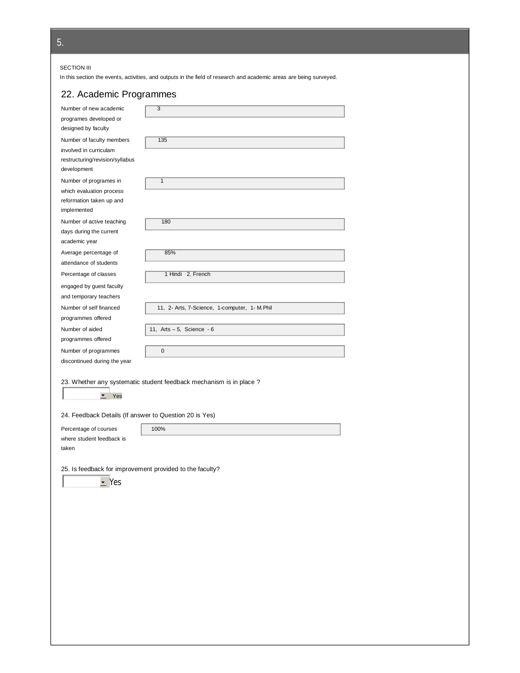5.

#### SECTION III

In this section the events, activities, and outputs in the field of research and academic areas are being surveyed.

# 22. Academic Programmes

| Number of new academic                                   | 3                                                                   |
|----------------------------------------------------------|---------------------------------------------------------------------|
| programes developed or                                   |                                                                     |
| designed by faculty                                      |                                                                     |
|                                                          |                                                                     |
| Number of faculty members<br>involved in curriculam      | 135                                                                 |
| restructuring/revision/syllabus                          |                                                                     |
| development                                              |                                                                     |
|                                                          |                                                                     |
| Number of programes in                                   | $\mathbf{1}$                                                        |
| which evaluation process                                 |                                                                     |
| reformation taken up and<br>implemented                  |                                                                     |
|                                                          |                                                                     |
| Number of active teaching                                | 180                                                                 |
| days during the current                                  |                                                                     |
| academic year                                            |                                                                     |
| Average percentage of                                    | 85%                                                                 |
| attendance of students                                   |                                                                     |
| Percentage of classes                                    | 1 Hindi 2. French                                                   |
| engaged by guest faculty                                 |                                                                     |
| and temporary teachers                                   |                                                                     |
| Number of self financed                                  | 11, 2- Arts, 7-Science, 1-computer, 1- M.Phil                       |
| programmes offered                                       |                                                                     |
| Number of aided                                          | 11, Arts $-5$ , Science $-6$                                        |
| programmes offered                                       |                                                                     |
| Number of programmes                                     | 0                                                                   |
|                                                          |                                                                     |
| discontinued during the year                             |                                                                     |
|                                                          |                                                                     |
|                                                          |                                                                     |
|                                                          | 23. Whether any systematic student feedback mechanism is in place ? |
| $\blacktriangledown$<br>Yes                              |                                                                     |
|                                                          |                                                                     |
| 24. Feedback Details (If answer to Question 20 is Yes)   |                                                                     |
| Percentage of courses                                    | 100%                                                                |
| where student feedback is                                |                                                                     |
| taken                                                    |                                                                     |
|                                                          |                                                                     |
| 25. Is feedback for improvement provided to the faculty? |                                                                     |
| $\leq$ Yes                                               |                                                                     |
|                                                          |                                                                     |
|                                                          |                                                                     |
|                                                          |                                                                     |
|                                                          |                                                                     |
|                                                          |                                                                     |
|                                                          |                                                                     |
|                                                          |                                                                     |
|                                                          |                                                                     |
|                                                          |                                                                     |
|                                                          |                                                                     |
|                                                          |                                                                     |
|                                                          |                                                                     |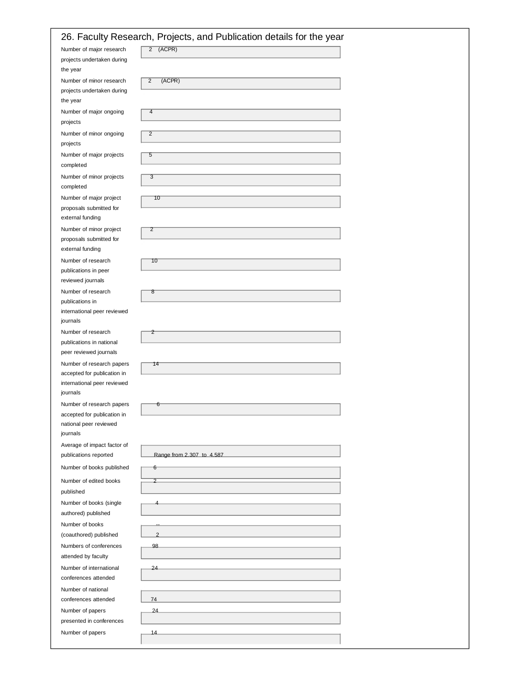|                                                       | 26. Faculty Research, Projects, and Publication details for the year |
|-------------------------------------------------------|----------------------------------------------------------------------|
| Number of major research                              | $2$ (ACPR)                                                           |
| projects undertaken during<br>the year                |                                                                      |
| Number of minor research                              | (ACPR)<br>$\overline{c}$                                             |
| projects undertaken during<br>the year                |                                                                      |
| Number of major ongoing<br>projects                   | 4                                                                    |
| Number of minor ongoing<br>projects                   | $\overline{2}$                                                       |
| Number of major projects<br>completed                 | 5                                                                    |
| Number of minor projects<br>completed                 | 3                                                                    |
| Number of major project                               | 10                                                                   |
| proposals submitted for<br>external funding           |                                                                      |
| Number of minor project                               | $\overline{z}$                                                       |
| proposals submitted for<br>external funding           |                                                                      |
| Number of research                                    | 10                                                                   |
| publications in peer<br>reviewed journals             |                                                                      |
| Number of research                                    | ष्ठ                                                                  |
| publications in                                       |                                                                      |
| international peer reviewed<br>journals               |                                                                      |
| Number of research                                    | 2                                                                    |
| publications in national                              |                                                                      |
| peer reviewed journals<br>Number of research papers   | 14                                                                   |
| accepted for publication in                           |                                                                      |
| international peer reviewed<br>journals               |                                                                      |
| Number of research papers                             | 6                                                                    |
| accepted for publication in<br>national peer reviewed |                                                                      |
| journals                                              |                                                                      |
| Average of impact factor of                           |                                                                      |
| publications reported                                 | Range from 2.307 to 4.587                                            |
| Number of books published                             | 6                                                                    |
| Number of edited books<br>published                   |                                                                      |
| Number of books (single<br>authored) published        |                                                                      |
| Number of books                                       |                                                                      |
| (coauthored) published                                | $\overline{2}$                                                       |
| Numbers of conferences<br>attended by faculty         | 98                                                                   |
| Number of international                               | 24                                                                   |
| conferences attended                                  |                                                                      |
| Number of national                                    |                                                                      |
| conferences attended<br>Number of papers              | 74<br>24                                                             |
| presented in conferences                              |                                                                      |
| Number of papers                                      | 14                                                                   |
|                                                       |                                                                      |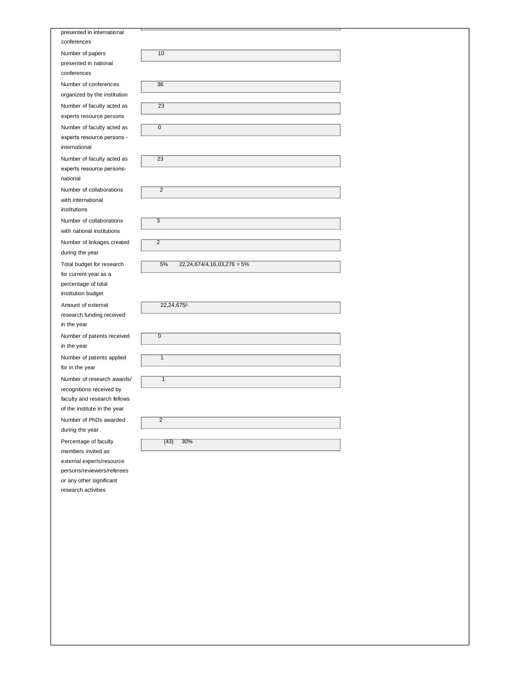| presented in international<br>conferences   |                           |
|---------------------------------------------|---------------------------|
| Number of papers                            | 10                        |
| presented in national                       |                           |
| conferences                                 |                           |
| Number of conferences                       | 36                        |
| organized by the institution                |                           |
| Number of faculty acted as                  | 23                        |
| experts resource persons                    |                           |
|                                             | 0                         |
| Number of faculty acted as                  |                           |
| experts resource persons -<br>international |                           |
|                                             | 23                        |
| Number of faculty acted as                  |                           |
| experts resource persons-<br>national       |                           |
| Number of collaborations                    | $\overline{2}$            |
| with international                          |                           |
| institutions                                |                           |
| Number of collaborations                    | $\overline{\overline{3}}$ |
| with national institutions                  |                           |
| Number of linkages created                  | $\overline{2}$            |
| during the year                             |                           |
| Total budget for research                   | 5%<br>22, 2               |
| for current year as a                       |                           |
| percentage of total                         |                           |
| institution budget                          |                           |
| Amount of external                          | 22,24,675/-               |
| research funding received                   |                           |
| in the year                                 |                           |
| Number of patents received                  | $\overline{0}$            |
| in the year                                 |                           |
| Number of patents applied                   | $\overline{1}$            |
| for in the year                             |                           |
| Number of research awards/                  | $\overline{\mathbf{1}}$   |
| recognitions received by                    |                           |
| faculty and research fellows                |                           |
| of the institute in the year                |                           |
| Number of PhDs awarded                      | $\overline{2}$            |
| during the year                             |                           |
| Percentage of faculty                       | 30%<br>(43)               |
| members invited as                          |                           |
| external experts/resource                   |                           |
| persons/reviewers/referees                  |                           |
| or any other significant                    |                           |
| research activities                         |                           |
|                                             |                           |

| presented in international<br>conferences   |                                  |  |
|---------------------------------------------|----------------------------------|--|
| Number of papers                            | 10                               |  |
| presented in national                       |                                  |  |
| conferences                                 |                                  |  |
| Number of conferences                       | $\overline{36}$                  |  |
| organized by the institution                |                                  |  |
| Number of faculty acted as                  | 23                               |  |
| experts resource persons                    |                                  |  |
| Number of faculty acted as                  | $\overline{0}$                   |  |
| experts resource persons -<br>international |                                  |  |
| Number of faculty acted as                  | 23                               |  |
| experts resource persons-<br>national       |                                  |  |
| Number of collaborations                    | $\overline{2}$                   |  |
| with international                          |                                  |  |
| institutions                                |                                  |  |
| Number of collaborations                    | 3                                |  |
| with national institutions                  |                                  |  |
| Number of linkages created                  | $\overline{2}$                   |  |
| during the year                             |                                  |  |
| Total budget for research                   | 5%<br>$22,24,674/4,16,03,276=5%$ |  |
| for current year as a                       |                                  |  |
| percentage of total                         |                                  |  |
| institution budget                          |                                  |  |
| Amount of external                          | 22,24,675/-                      |  |
| research funding received                   |                                  |  |
| in the year                                 |                                  |  |
| Number of patents received<br>in the year   | $\overline{0}$                   |  |
| Number of patents applied                   | $\overline{1}$                   |  |
| for in the year                             |                                  |  |
| Number of research awards/                  | $\overline{1}$                   |  |
| recognitions received by                    |                                  |  |
| faculty and research fellows                |                                  |  |
| of the institute in the year                |                                  |  |

 $(43)$  30%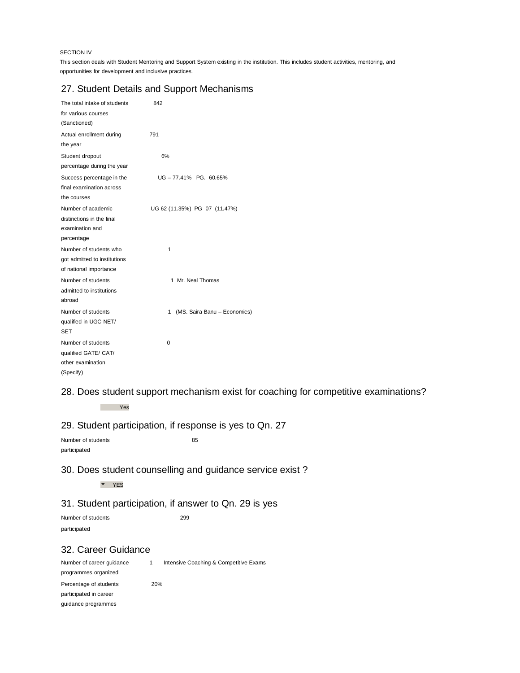### SECTION IV

This section deals with Student Mentoring and Support System existing in the institution. This includes student activities, mentoring, and opportunities for development and inclusive practices.

## 27. Student Details and Support Mechanisms

| The total intake of students                                                     | 842                               |
|----------------------------------------------------------------------------------|-----------------------------------|
| for various courses<br>(Sanctioned)                                              |                                   |
| Actual enrollment during                                                         | 791                               |
| the year                                                                         |                                   |
| Student dropout                                                                  | 6%                                |
| percentage during the year                                                       |                                   |
| Success percentage in the<br>final examination across                            | UG-77.41% PG. 60.65%              |
| the courses                                                                      |                                   |
| Number of academic<br>distinctions in the final<br>examination and<br>percentage | UG 62 (11.35%) PG 07 (11.47%)     |
| Number of students who<br>got admitted to institutions<br>of national importance | 1                                 |
| Number of students<br>admitted to institutions<br>abroad                         | 1 Mr. Neal Thomas                 |
| Number of students<br>qualified in UGC NET/<br><b>SET</b>                        | (MS. Saira Banu - Economics)<br>1 |
| Number of students<br>qualified GATE/ CAT/<br>other examination<br>(Specify)     | 0                                 |

28. Does student support mechanism exist for coaching for competitive examinations?

Yes

## 29. Student participation, if response is yes to Qn. 27

Number of students 85 participated

## 30. Does student counselling and guidance service exist ?

YES

## 31. Student participation, if answer to Qn. 29 is yes

Number of students 299 participated

## 32. Career Guidance

Number of career guidance 1 Intensive Coaching & Competitive Exams programmes organized Percentage of students 20% participated in career guidance programmes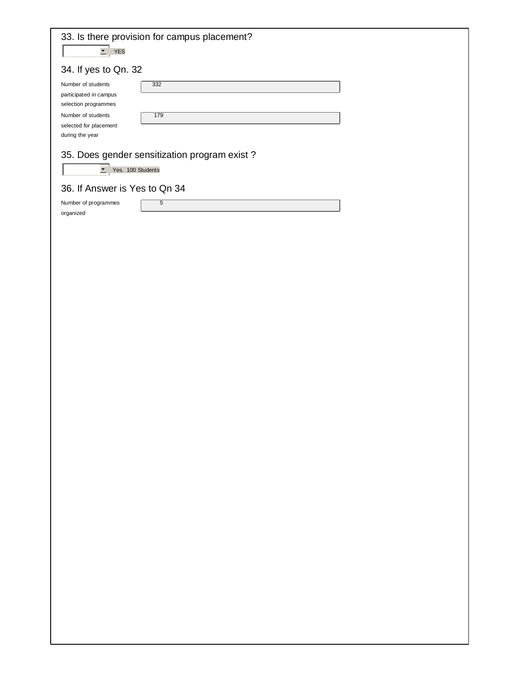| <b>YES</b><br>$\blacktriangledown$                                                                                                      | 33. Is there provision for campus placement? |  |
|-----------------------------------------------------------------------------------------------------------------------------------------|----------------------------------------------|--|
| 34. If yes to Qn. 32                                                                                                                    |                                              |  |
| Number of students<br>participated in campus<br>selection programmes<br>Number of students<br>selected for placement<br>during the year | 332<br>179                                   |  |
|                                                                                                                                         | 35. Does gender sensitization program exist? |  |
| $\overline{\phantom{a}}$                                                                                                                | Yes. 100 Students                            |  |
| 36. If Answer is Yes to Qn 34                                                                                                           |                                              |  |
| Number of programmes<br>organized                                                                                                       | 5                                            |  |
|                                                                                                                                         |                                              |  |
|                                                                                                                                         |                                              |  |
|                                                                                                                                         |                                              |  |
|                                                                                                                                         |                                              |  |
|                                                                                                                                         |                                              |  |
|                                                                                                                                         |                                              |  |
|                                                                                                                                         |                                              |  |
|                                                                                                                                         |                                              |  |
|                                                                                                                                         |                                              |  |
|                                                                                                                                         |                                              |  |
|                                                                                                                                         |                                              |  |
|                                                                                                                                         |                                              |  |
|                                                                                                                                         |                                              |  |
|                                                                                                                                         |                                              |  |
|                                                                                                                                         |                                              |  |
|                                                                                                                                         |                                              |  |
|                                                                                                                                         |                                              |  |
|                                                                                                                                         |                                              |  |
|                                                                                                                                         |                                              |  |
|                                                                                                                                         |                                              |  |
|                                                                                                                                         |                                              |  |
|                                                                                                                                         |                                              |  |
|                                                                                                                                         |                                              |  |
|                                                                                                                                         |                                              |  |
|                                                                                                                                         |                                              |  |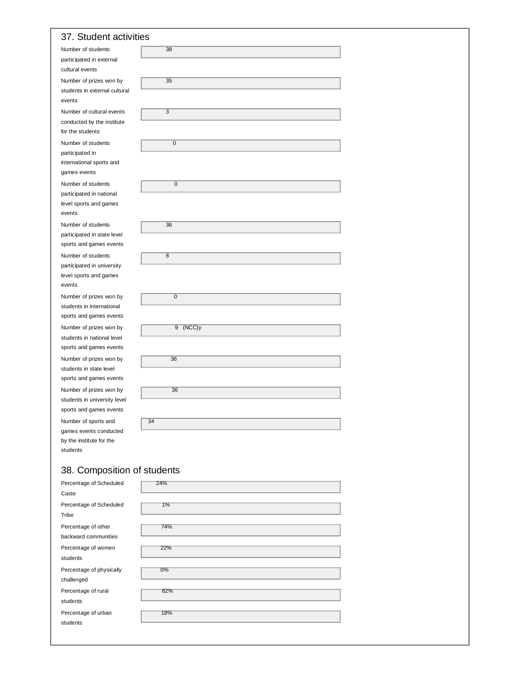## 37. Student activities

| Number of students                                    | 38             |  |
|-------------------------------------------------------|----------------|--|
| participated in external<br>cultural events           |                |  |
| Number of prizes won by                               | 35             |  |
| students in external cultural<br>events               |                |  |
| Number of cultural events                             | 3              |  |
| conducted by the institute<br>for the students        |                |  |
| Number of students                                    | 0              |  |
| participated in<br>international sports and           |                |  |
| games events                                          |                |  |
| Number of students                                    | $\overline{0}$ |  |
| participated in national                              |                |  |
| level sports and games<br>events                      |                |  |
| Number of students                                    | 36             |  |
| participated in state level                           |                |  |
| sports and games events                               |                |  |
| Number of students<br>participated in university      | 8              |  |
| level sports and games                                |                |  |
| events                                                |                |  |
| Number of prizes won by                               | $\overline{0}$ |  |
| students in international                             |                |  |
| sports and games events                               |                |  |
| Number of prizes won by                               | $9$ (NCC)y     |  |
| students in national level<br>sports and games events |                |  |
| Number of prizes won by                               | 36             |  |
| students in state level                               |                |  |
| sports and games events                               |                |  |
| Number of prizes won by                               | 36             |  |
| students in university level                          |                |  |
| sports and games events                               |                |  |
| Number of sports and<br>games events conducted        | 34             |  |
| by the institute for the                              |                |  |
| students                                              |                |  |
| 38. Composition of students                           |                |  |
| Percentage of Scheduled                               | 24%            |  |
| Caste                                                 |                |  |

| Percentage or Scrieduled | Z470 |
|--------------------------|------|
| Caste                    |      |
| Percentage of Scheduled  | 1%   |
| Tribe                    |      |
| Percentage of other      | 74%  |
| backward communities     |      |
| Percentage of women      | 22%  |
| students                 |      |
| Percentage of physically | 0%   |
| challenged               |      |
| Percentage of rural      | 82%  |
| students                 |      |
| Percentage of urban      | 18%  |
| students                 |      |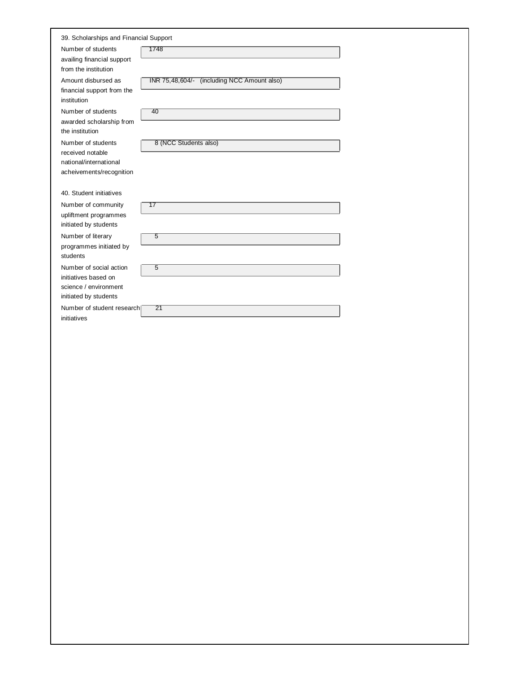|                                                    | 39. Scholarships and Financial Support      |  |  |  |
|----------------------------------------------------|---------------------------------------------|--|--|--|
| Number of students                                 | 1748                                        |  |  |  |
| availing financial support<br>from the institution |                                             |  |  |  |
| Amount disbursed as                                | INR 75,48,604/- (including NCC Amount also) |  |  |  |
| financial support from the<br>institution          |                                             |  |  |  |
| Number of students                                 | 40                                          |  |  |  |
| awarded scholarship from<br>the institution        |                                             |  |  |  |
| Number of students                                 | 8 (NCC Students also)                       |  |  |  |
| received notable<br>national/international         |                                             |  |  |  |
| acheivements/recognition                           |                                             |  |  |  |
|                                                    |                                             |  |  |  |
| 40. Student initiatives                            |                                             |  |  |  |
| Number of community                                | 17                                          |  |  |  |
| upliftment programmes<br>initiated by students     |                                             |  |  |  |
| Number of literary                                 | 5                                           |  |  |  |
| programmes initiated by                            |                                             |  |  |  |
| students                                           |                                             |  |  |  |
| Number of social action                            | $\overline{5}$                              |  |  |  |
| initiatives based on<br>science / environment      |                                             |  |  |  |
| initiated by students                              |                                             |  |  |  |
| Number of student research                         | $\overline{21}$                             |  |  |  |
| initiatives                                        |                                             |  |  |  |
|                                                    |                                             |  |  |  |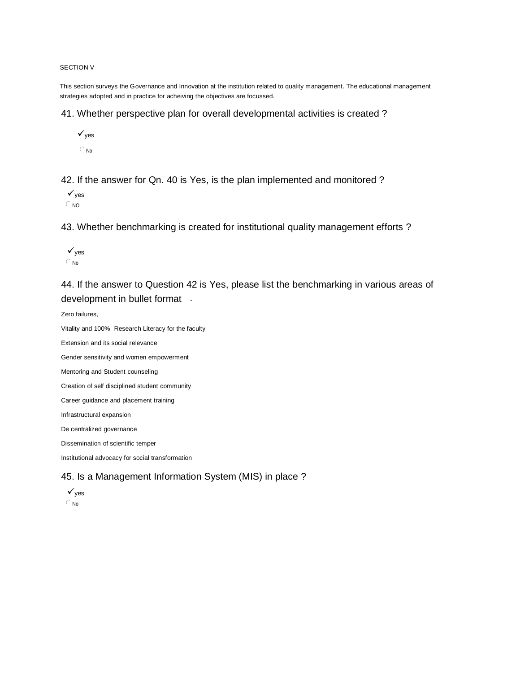#### SECTION V

This section surveys the Governance and Innovation at the institution related to quality management. The educational management strategies adopted and in practice for acheiving the objectives are focussed.

41. Whether perspective plan for overall developmental activities is created ?

 $\checkmark_{\text{ves}}$  $\subset$  No

42. If the answer for Qn. 40 is Yes, is the plan implemented and monitored ?

 $\sqrt{v}$ es  $\subset$  NO

43. Whether benchmarking is created for institutional quality management efforts ?

 $\sqrt{v}$ es  $\in$  No

44. If the answer to Question 42 is Yes, please list the benchmarking in various areas of development in bullet format -

Zero failures,

Vitality and 100% Research Literacy for the faculty Extension and its social relevance Gender sensitivity and women empowerment Mentoring and Student counseling Creation of self disciplined student community

Career guidance and placement training

Infrastructural expansion

De centralized governance

Dissemination of scientific temper

Institutional advocacy for social transformation

## 45. Is a Management Information System (MIS) in place ?

 $\sqrt{v}$ es  $\subset$  No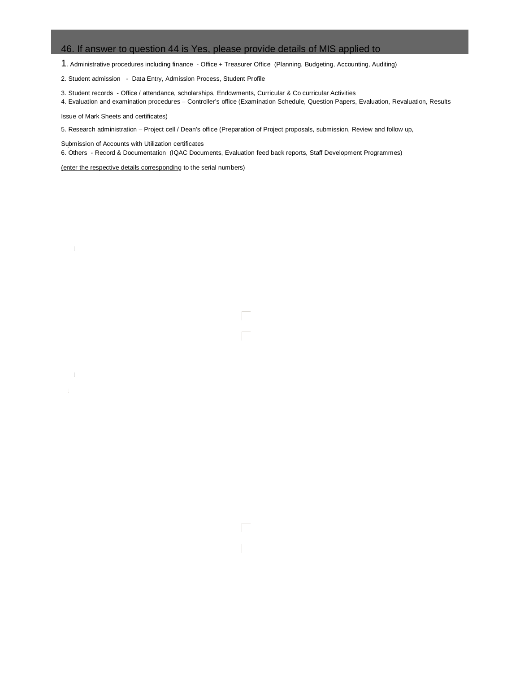## 46. If answer to question 44 is Yes, please provide details of MIS applied to

1. Administrative procedures including finance - Office + Treasurer Office (Planning, Budgeting, Accounting, Auditing)

2. Student admission - Data Entry, Admission Process, Student Profile

3. Student records - Office / attendance, scholarships, Endowments, Curricular & Co curricular Activities

4. Evaluation and examination procedures – Controller's office (Examination Schedule, Question Papers, Evaluation, Revaluation, Results

Issue of Mark Sheets and certificates)

5. Research administration – Project cell / Dean's office (Preparation of Project proposals, submission, Review and follow up,

 6. Others - Record & Documentation (IQAC Documents, Evaluation feed back reports, Staff Development Programmes) Submission of Accounts with Utilization certificates

(enter the respective details corresponding to the serial numbers)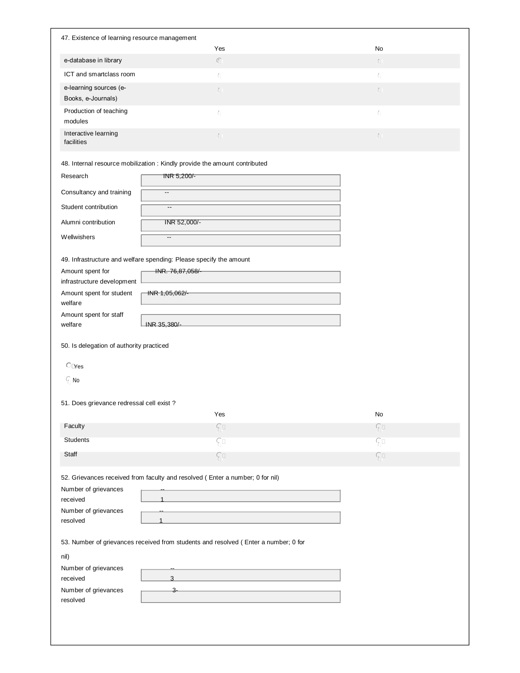| 47. Existence of learning resource management                                    |                                                                                     |                              |  |
|----------------------------------------------------------------------------------|-------------------------------------------------------------------------------------|------------------------------|--|
|                                                                                  | Yes                                                                                 | No                           |  |
| e-database in library                                                            | $\sqrt{\phantom{.}}$                                                                | $\lceil \cdot \rfloor$       |  |
| ICT and smartclass room                                                          | f)                                                                                  | Ŋ                            |  |
| e-learning sources (e-<br>Books, e-Journals)                                     | ſJI.                                                                                | $\mathbb{F} \cup \mathbb{F}$ |  |
| Production of teaching<br>modules                                                | f)                                                                                  | Ŋ                            |  |
| Interactive learning<br>facilities                                               | ſJT.                                                                                | $\mathfrak{f}$ ) i           |  |
|                                                                                  | 48. Internal resource mobilization : Kindly provide the amount contributed          |                              |  |
| Research                                                                         | INR 5,200/-                                                                         |                              |  |
| Consultancy and training                                                         | $\overline{\phantom{a}}$                                                            |                              |  |
|                                                                                  |                                                                                     |                              |  |
| Student contribution                                                             | $\overline{\phantom{a}}$                                                            |                              |  |
| Alumni contribution                                                              | INR 52,000/-                                                                        |                              |  |
| Wellwishers                                                                      | $\overline{a}$                                                                      |                              |  |
|                                                                                  | 49. Infrastructure and welfare spending: Please specify the amount                  |                              |  |
| Amount spent for                                                                 | INR. 76,87,058/-                                                                    |                              |  |
| infrastructure development                                                       |                                                                                     |                              |  |
| Amount spent for student<br>welfare                                              | INR 1,05,062/-                                                                      |                              |  |
| Amount spent for staff<br>welfare                                                | INR 35,380/-                                                                        |                              |  |
| C <sub>1</sub> Yes<br>$\sqrt{a}$ No<br>51. Does grievance redressal cell exist ? |                                                                                     |                              |  |
|                                                                                  | Yes                                                                                 | No                           |  |
| Faculty                                                                          | $\sqrt{2}$                                                                          | $\sqrt{n}$                   |  |
| <b>Students</b>                                                                  | $\sqrt{2}$                                                                          | $G \square$                  |  |
| Staff                                                                            | $\sqrt{2}$                                                                          | $G \Box$                     |  |
|                                                                                  | 52. Grievances received from faculty and resolved (Enter a number; 0 for nil)       |                              |  |
| Number of grievances                                                             |                                                                                     |                              |  |
| received                                                                         |                                                                                     |                              |  |
| Number of grievances                                                             |                                                                                     |                              |  |
| resolved                                                                         |                                                                                     |                              |  |
|                                                                                  | 53. Number of grievances received from students and resolved (Enter a number; 0 for |                              |  |
| nil)                                                                             |                                                                                     |                              |  |
| Number of grievances                                                             |                                                                                     |                              |  |
| received                                                                         | 3                                                                                   |                              |  |
| Number of grievances<br>resolved                                                 | 3-                                                                                  |                              |  |
|                                                                                  |                                                                                     |                              |  |
|                                                                                  |                                                                                     |                              |  |
|                                                                                  |                                                                                     |                              |  |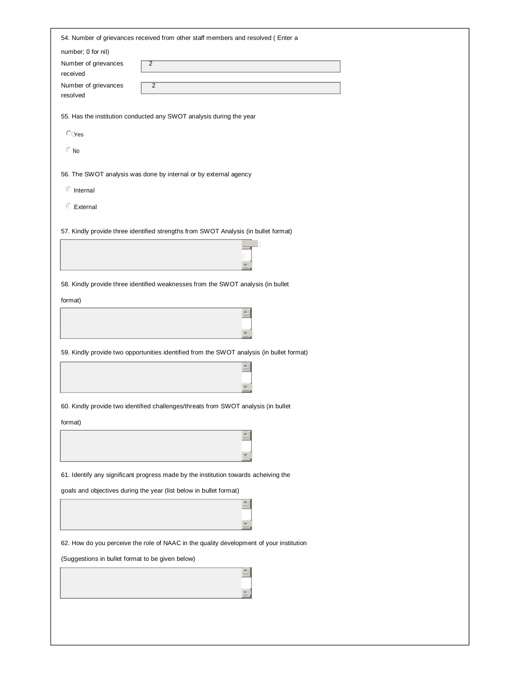|                                                  | 54. Number of grievances received from other staff members and resolved ( Enter a         |
|--------------------------------------------------|-------------------------------------------------------------------------------------------|
| number; 0 for nil)                               |                                                                                           |
| Number of grievances<br>received                 | $\overline{2}$                                                                            |
| Number of grievances<br>resolved                 | $\overline{2}$                                                                            |
|                                                  | 55. Has the institution conducted any SWOT analysis during the year                       |
| C <sub>Yes</sub>                                 |                                                                                           |
| $\textcircled{F}$ No                             |                                                                                           |
|                                                  | 56. The SWOT analysis was done by internal or by external agency                          |
| <b><i>f</i></b> Internal                         |                                                                                           |
| <b><i>C</i></b> External                         |                                                                                           |
|                                                  | 57. Kindly provide three identified strengths from SWOT Analysis (in bullet format)       |
|                                                  |                                                                                           |
|                                                  |                                                                                           |
|                                                  | 58. Kindly provide three identified weaknesses from the SWOT analysis (in bullet          |
| format)                                          |                                                                                           |
|                                                  |                                                                                           |
|                                                  | 59. Kindly provide two opportunities identified from the SWOT analysis (in bullet format) |
|                                                  |                                                                                           |
|                                                  |                                                                                           |
|                                                  | 60. Kindly provide two identified challenges/threats from SWOT analysis (in bullet        |
| format)                                          |                                                                                           |
|                                                  |                                                                                           |
|                                                  |                                                                                           |
|                                                  | 61. Identify any significant progress made by the institution towards acheiving the       |
|                                                  | goals and objectives during the year (list below in bullet format)                        |
|                                                  |                                                                                           |
|                                                  | 62. How do you perceive the role of NAAC in the quality development of your institution   |
|                                                  |                                                                                           |
| (Suggestions in bullet format to be given below) |                                                                                           |
|                                                  |                                                                                           |
|                                                  |                                                                                           |
|                                                  |                                                                                           |
|                                                  |                                                                                           |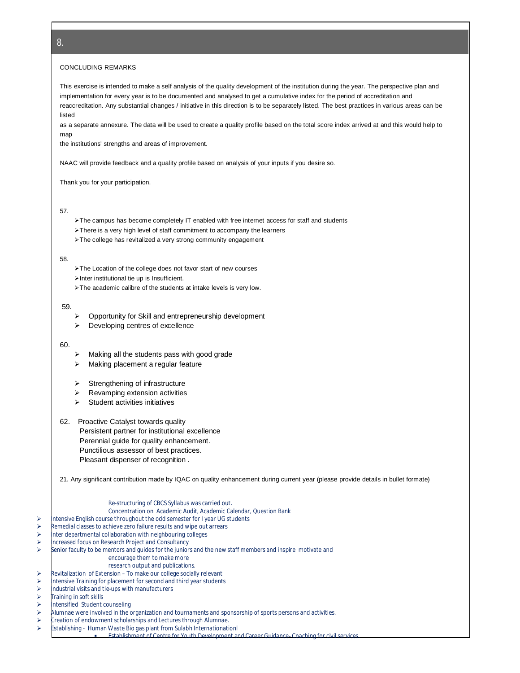#### CONCLUDING REMARKS

This exercise is intended to make a self analysis of the quality development of the institution during the year. The perspective plan and implementation for every year is to be documented and analysed to get a cumulative index for the period of accreditation and reaccreditation. Any substantial changes / initiative in this direction is to be separately listed. The best practices in various areas can be listed

as a separate annexure. The data will be used to create a quality profile based on the total score index arrived at and this would help to map

the institutions' strengths and areas of improvement.

NAAC will provide feedback and a quality profile based on analysis of your inputs if you desire so.

Thank you for your participation.

#### 57.

- The campus has become completely IT enabled with free internet access for staff and students
- > There is a very high level of staff commitment to accompany the learners
- > The college has revitalized a very strong community engagement

#### 58.

- > The Location of the college does not favor start of new courses
- $\triangleright$  Inter institutional tie up is Insufficient.
- > The academic calibre of the students at intake levels is very low.

#### 59.

- $\triangleright$  Opportunity for Skill and entrepreneurship development
- $\triangleright$  Developing centres of excellence

#### 60.

- $\triangleright$  Making all the students pass with good grade
- > Making placement a regular feature
- $\triangleright$  Strengthening of infrastructure
- $\triangleright$  Revamping extension activities
- $\triangleright$  Student activities initiatives

## 62. Proactive Catalyst towards quality Persistent partner for institutional excellence Perennial guide for quality enhancement. Punctilious assessor of best practices. Pleasant dispenser of recognition .

21. Any significant contribution made by IQAC on quality enhancement during current year (please provide details in bullet formate)

#### Re-structuring of CBCS Syllabus was carried out. Concentration on Academic Audit, Academic Calendar, Question Bank ntensive English course throughout the odd semester for I year UG students  $\triangleright$  Remedial classes to achieve zero failure results and wipe out arrears<br>
the departmental collaboration with neighbouring colleges nter departmental collaboration with neighbouring colleges **EXECUTE:** Increased focus on Research Project and Consultancy  $\triangleright$  Senior faculty to be mentors and guides for the juniors and the new staff members and inspire motivate and encourage them to make more research output and publications.  $\triangleright$  Revitalization of Extension – To make our college socially relevant ntensive Training for placement for second and third year students ndustrial visits and tie-ups with manufacturers raining in soft skills  $\triangleright$  Intensified Student counseling  $\triangleright$  Alumnae were involved in the organization and tournaments and sponsorship of sports persons and activities.

- $\triangleright$  Creation of endowment scholarships and Lectures through Alumnae.<br>  $\triangleright$  Establishing Human Waste Bio gas plant from Sulabh Internationati
- Establishing Human Waste Bio gas plant from Sulabh Internationationl
	- Establishment of Centre for Youth Development and Career Guidance- Coaching for civil services.

8.